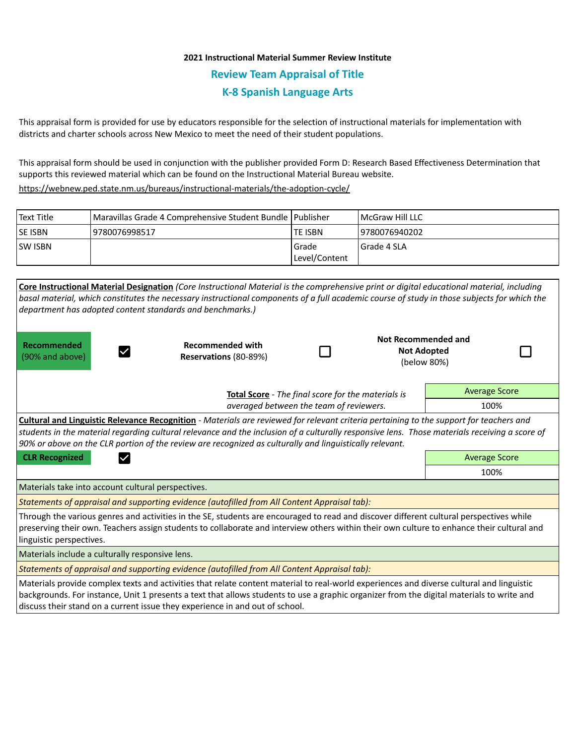## **2021 Instructional Material Summer Review Institute Review Team Appraisal of Title K-8 Spanish Language Arts**

This appraisal form is provided for use by educators responsible for the selection of instructional materials for implementation with districts and charter schools across New Mexico to meet the need of their student populations.

This appraisal form should be used in conjunction with the publisher provided Form D: Research Based Effectiveness Determination that supports this reviewed material which can be found on the Instructional Material Bureau website.

<https://webnew.ped.state.nm.us/bureaus/instructional-materials/the-adoption-cycle/>

| Text Title     | Maravillas Grade 4 Comprehensive Student Bundle   Publisher |               | <b>IMcGraw Hill LLC</b> |
|----------------|-------------------------------------------------------------|---------------|-------------------------|
| <b>SE ISBN</b> | 9780076998517                                               | lte ISBN      | 19780076940202          |
| <b>SW ISBN</b> |                                                             | Grade         | I Grade 4 SLA           |
|                |                                                             | Level/Content |                         |

| Core Instructional Material Designation (Core Instructional Material is the comprehensive print or digital educational material, including<br>basal material, which constitutes the necessary instructional components of a full academic course of study in those subjects for which the<br>department has adopted content standards and benchmarks.)                                                     |                                                  |  |  |                                                                 |  |  |  |  |
|------------------------------------------------------------------------------------------------------------------------------------------------------------------------------------------------------------------------------------------------------------------------------------------------------------------------------------------------------------------------------------------------------------|--------------------------------------------------|--|--|-----------------------------------------------------------------|--|--|--|--|
| Recommended<br>(90% and above)                                                                                                                                                                                                                                                                                                                                                                             | <b>Recommended with</b><br>Reservations (80-89%) |  |  | <b>Not Recommended and</b><br><b>Not Adopted</b><br>(below 80%) |  |  |  |  |
| Total Score - The final score for the materials is                                                                                                                                                                                                                                                                                                                                                         |                                                  |  |  | <b>Average Score</b>                                            |  |  |  |  |
| averaged between the team of reviewers.                                                                                                                                                                                                                                                                                                                                                                    |                                                  |  |  | 100%                                                            |  |  |  |  |
| <b>Cultural and Linguistic Relevance Recognition</b> - Materials are reviewed for relevant criteria pertaining to the support for teachers and<br>students in the material regarding cultural relevance and the inclusion of a culturally responsive lens. Those materials receiving a score of<br>90% or above on the CLR portion of the review are recognized as culturally and linguistically relevant. |                                                  |  |  |                                                                 |  |  |  |  |
| <b>CLR Recognized</b>                                                                                                                                                                                                                                                                                                                                                                                      |                                                  |  |  | <b>Average Score</b>                                            |  |  |  |  |
|                                                                                                                                                                                                                                                                                                                                                                                                            |                                                  |  |  | 100%                                                            |  |  |  |  |
| Materials take into account cultural perspectives.                                                                                                                                                                                                                                                                                                                                                         |                                                  |  |  |                                                                 |  |  |  |  |
| Statements of appraisal and supporting evidence (autofilled from All Content Appraisal tab):                                                                                                                                                                                                                                                                                                               |                                                  |  |  |                                                                 |  |  |  |  |
| Through the various genres and activities in the SE, students are encouraged to read and discover different cultural perspectives while<br>preserving their own. Teachers assign students to collaborate and interview others within their own culture to enhance their cultural and<br>linguistic perspectives.                                                                                           |                                                  |  |  |                                                                 |  |  |  |  |
| Materials include a culturally responsive lens.                                                                                                                                                                                                                                                                                                                                                            |                                                  |  |  |                                                                 |  |  |  |  |
| Statements of appraisal and supporting evidence (autofilled from All Content Appraisal tab):                                                                                                                                                                                                                                                                                                               |                                                  |  |  |                                                                 |  |  |  |  |
| Materials provide complex texts and activities that relate content material to real-world experiences and diverse cultural and linguistic<br>backgrounds. For instance, Unit 1 presents a text that allows students to use a graphic organizer from the digital materials to write and<br>discuss their stand on a current issue they experience in and out of school.                                     |                                                  |  |  |                                                                 |  |  |  |  |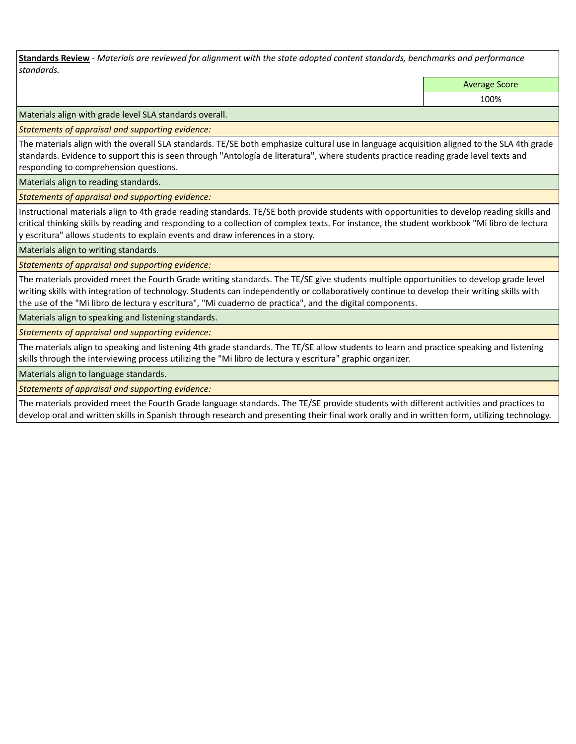**Standards Review** *- Materials are reviewed for alignment with the state adopted content standards, benchmarks and performance standards.*

Average Score

100%

Materials align with grade level SLA standards overall.

*Statements of appraisal and supporting evidence:* 

The materials align with the overall SLA standards. TE/SE both emphasize cultural use in language acquisition aligned to the SLA 4th grade standards. Evidence to support this is seen through "Antología de literatura", where students practice reading grade level texts and responding to comprehension questions.

Materials align to reading standards.

*Statements of appraisal and supporting evidence:* 

Instructional materials align to 4th grade reading standards. TE/SE both provide students with opportunities to develop reading skills and critical thinking skills by reading and responding to a collection of complex texts. For instance, the student workbook "Mi libro de lectura y escritura" allows students to explain events and draw inferences in a story.

Materials align to writing standards.

*Statements of appraisal and supporting evidence:* 

The materials provided meet the Fourth Grade writing standards. The TE/SE give students multiple opportunities to develop grade level writing skills with integration of technology. Students can independently or collaboratively continue to develop their writing skills with the use of the "Mi libro de lectura y escritura", "Mi cuaderno de practica", and the digital components.

Materials align to speaking and listening standards.

*Statements of appraisal and supporting evidence:* 

The materials align to speaking and listening 4th grade standards. The TE/SE allow students to learn and practice speaking and listening skills through the interviewing process utilizing the "Mi libro de lectura y escritura" graphic organizer.

Materials align to language standards.

*Statements of appraisal and supporting evidence:* 

The materials provided meet the Fourth Grade language standards. The TE/SE provide students with different activities and practices to develop oral and written skills in Spanish through research and presenting their final work orally and in written form, utilizing technology.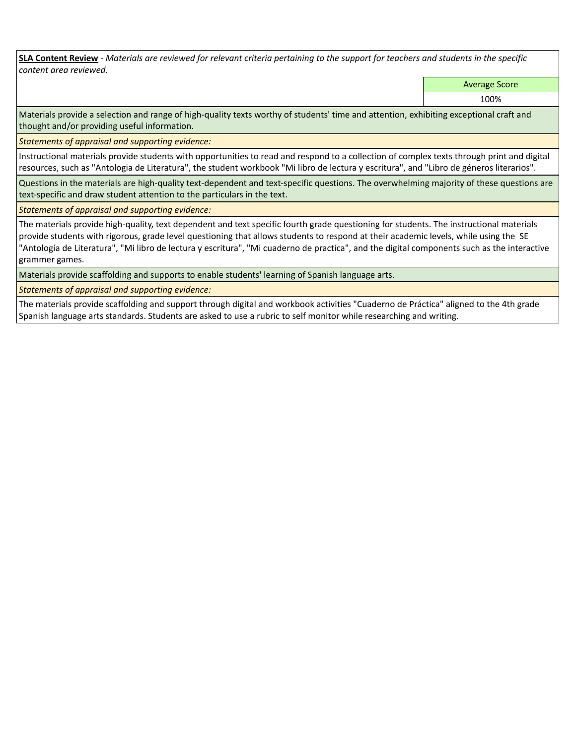**SLA Content Review** *- Materials are reviewed for relevant criteria pertaining to the support for teachers and students in the specific content area reviewed.*

Average Score

100%

Materials provide a selection and range of high-quality texts worthy of students' time and attention, exhibiting exceptional craft and thought and/or providing useful information.

*Statements of appraisal and supporting evidence:* 

Instructional materials provide students with opportunities to read and respond to a collection of complex texts through print and digital resources, such as "Antologia de Literatura", the student workbook "Mi libro de lectura y escritura", and "Libro de géneros literarios".

Questions in the materials are high-quality text-dependent and text-specific questions. The overwhelming majority of these questions are text-specific and draw student attention to the particulars in the text.

*Statements of appraisal and supporting evidence:* 

The materials provide high-quality, text dependent and text specific fourth grade questioning for students. The instructional materials provide students with rigorous, grade level questioning that allows students to respond at their academic levels, while using the SE "Antología de Literatura", "Mi libro de lectura y escritura", "Mi cuaderno de practica", and the digital components such as the interactive grammer games.

Materials provide scaffolding and supports to enable students' learning of Spanish language arts.

*Statements of appraisal and supporting evidence:* 

The materials provide scaffolding and support through digital and workbook activities "Cuaderno de Práctica" aligned to the 4th grade Spanish language arts standards. Students are asked to use a rubric to self monitor while researching and writing.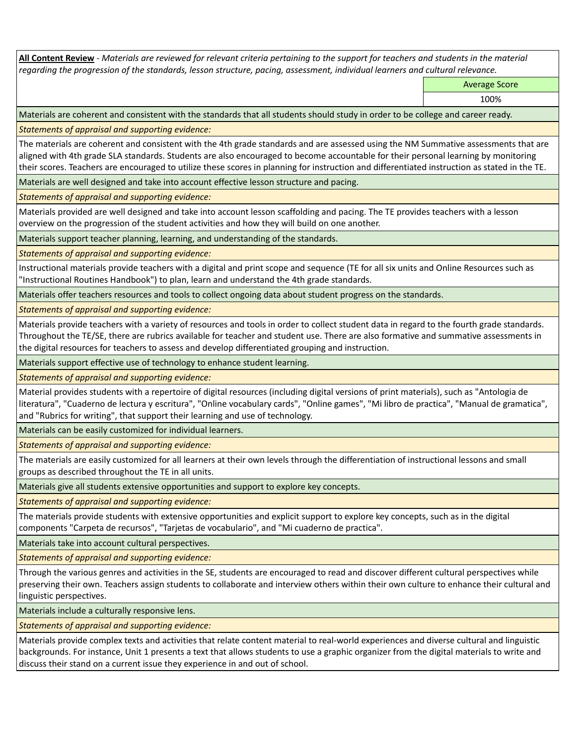**All Content Review** *- Materials are reviewed for relevant criteria pertaining to the support for teachers and students in the material regarding the progression of the standards, lesson structure, pacing, assessment, individual learners and cultural relevance.*

Average Score

100%

Materials are coherent and consistent with the standards that all students should study in order to be college and career ready.

*Statements of appraisal and supporting evidence:*

The materials are coherent and consistent with the 4th grade standards and are assessed using the NM Summative assessments that are aligned with 4th grade SLA standards. Students are also encouraged to become accountable for their personal learning by monitoring their scores. Teachers are encouraged to utilize these scores in planning for instruction and differentiated instruction as stated in the TE.

Materials are well designed and take into account effective lesson structure and pacing.

*Statements of appraisal and supporting evidence:*

Materials provided are well designed and take into account lesson scaffolding and pacing. The TE provides teachers with a lesson overview on the progression of the student activities and how they will build on one another.

Materials support teacher planning, learning, and understanding of the standards.

*Statements of appraisal and supporting evidence:*

Instructional materials provide teachers with a digital and print scope and sequence (TE for all six units and Online Resources such as "Instructional Routines Handbook") to plan, learn and understand the 4th grade standards.

Materials offer teachers resources and tools to collect ongoing data about student progress on the standards.

*Statements of appraisal and supporting evidence:*

Materials provide teachers with a variety of resources and tools in order to collect student data in regard to the fourth grade standards. Throughout the TE/SE, there are rubrics available for teacher and student use. There are also formative and summative assessments in the digital resources for teachers to assess and develop differentiated grouping and instruction.

Materials support effective use of technology to enhance student learning.

*Statements of appraisal and supporting evidence:*

Material provides students with a repertoire of digital resources (including digital versions of print materials), such as "Antologia de literatura", "Cuaderno de lectura y escritura", "Online vocabulary cards", "Online games", "Mi libro de practica", "Manual de gramatica", and "Rubrics for writing", that support their learning and use of technology.

Materials can be easily customized for individual learners.

*Statements of appraisal and supporting evidence:* 

The materials are easily customized for all learners at their own levels through the differentiation of instructional lessons and small groups as described throughout the TE in all units.

Materials give all students extensive opportunities and support to explore key concepts.

*Statements of appraisal and supporting evidence:*

The materials provide students with extensive opportunities and explicit support to explore key concepts, such as in the digital components "Carpeta de recursos", "Tarjetas de vocabulario", and "Mi cuaderno de practica".

Materials take into account cultural perspectives.

*Statements of appraisal and supporting evidence:*

Through the various genres and activities in the SE, students are encouraged to read and discover different cultural perspectives while preserving their own. Teachers assign students to collaborate and interview others within their own culture to enhance their cultural and linguistic perspectives.

Materials include a culturally responsive lens.

*Statements of appraisal and supporting evidence:*

Materials provide complex texts and activities that relate content material to real-world experiences and diverse cultural and linguistic backgrounds. For instance, Unit 1 presents a text that allows students to use a graphic organizer from the digital materials to write and discuss their stand on a current issue they experience in and out of school.